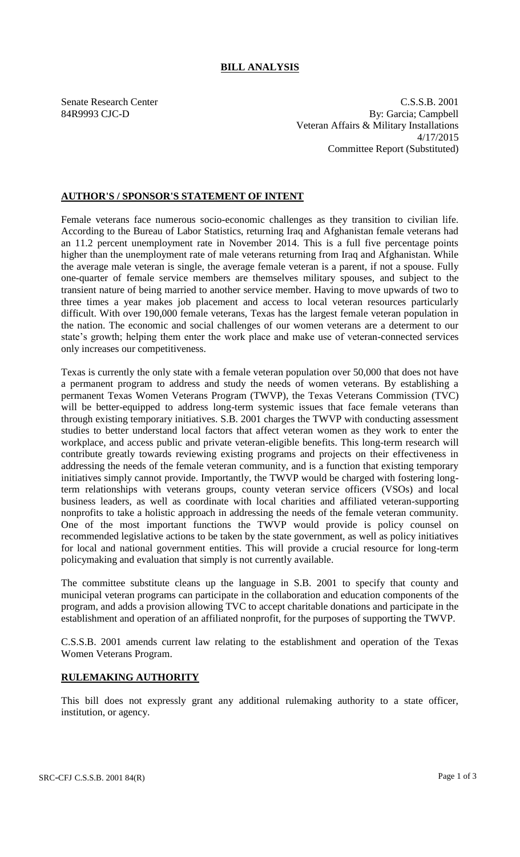## **BILL ANALYSIS**

Senate Research Center C.S.S.B. 2001 84R9993 CJC-D By: Garcia; Campbell Veteran Affairs & Military Installations 4/17/2015 Committee Report (Substituted)

## **AUTHOR'S / SPONSOR'S STATEMENT OF INTENT**

Female veterans face numerous socio-economic challenges as they transition to civilian life. According to the Bureau of Labor Statistics, returning Iraq and Afghanistan female veterans had an 11.2 percent unemployment rate in November 2014. This is a full five percentage points higher than the unemployment rate of male veterans returning from Iraq and Afghanistan. While the average male veteran is single, the average female veteran is a parent, if not a spouse. Fully one-quarter of female service members are themselves military spouses, and subject to the transient nature of being married to another service member. Having to move upwards of two to three times a year makes job placement and access to local veteran resources particularly difficult. With over 190,000 female veterans, Texas has the largest female veteran population in the nation. The economic and social challenges of our women veterans are a determent to our state's growth; helping them enter the work place and make use of veteran-connected services only increases our competitiveness.

Texas is currently the only state with a female veteran population over 50,000 that does not have a permanent program to address and study the needs of women veterans. By establishing a permanent Texas Women Veterans Program (TWVP), the Texas Veterans Commission (TVC) will be better-equipped to address long-term systemic issues that face female veterans than through existing temporary initiatives. S.B. 2001 charges the TWVP with conducting assessment studies to better understand local factors that affect veteran women as they work to enter the workplace, and access public and private veteran-eligible benefits. This long-term research will contribute greatly towards reviewing existing programs and projects on their effectiveness in addressing the needs of the female veteran community, and is a function that existing temporary initiatives simply cannot provide. Importantly, the TWVP would be charged with fostering longterm relationships with veterans groups, county veteran service officers (VSOs) and local business leaders, as well as coordinate with local charities and affiliated veteran-supporting nonprofits to take a holistic approach in addressing the needs of the female veteran community. One of the most important functions the TWVP would provide is policy counsel on recommended legislative actions to be taken by the state government, as well as policy initiatives for local and national government entities. This will provide a crucial resource for long-term policymaking and evaluation that simply is not currently available.

The committee substitute cleans up the language in S.B. 2001 to specify that county and municipal veteran programs can participate in the collaboration and education components of the program, and adds a provision allowing TVC to accept charitable donations and participate in the establishment and operation of an affiliated nonprofit, for the purposes of supporting the TWVP.

C.S.S.B. 2001 amends current law relating to the establishment and operation of the Texas Women Veterans Program.

# **RULEMAKING AUTHORITY**

This bill does not expressly grant any additional rulemaking authority to a state officer, institution, or agency.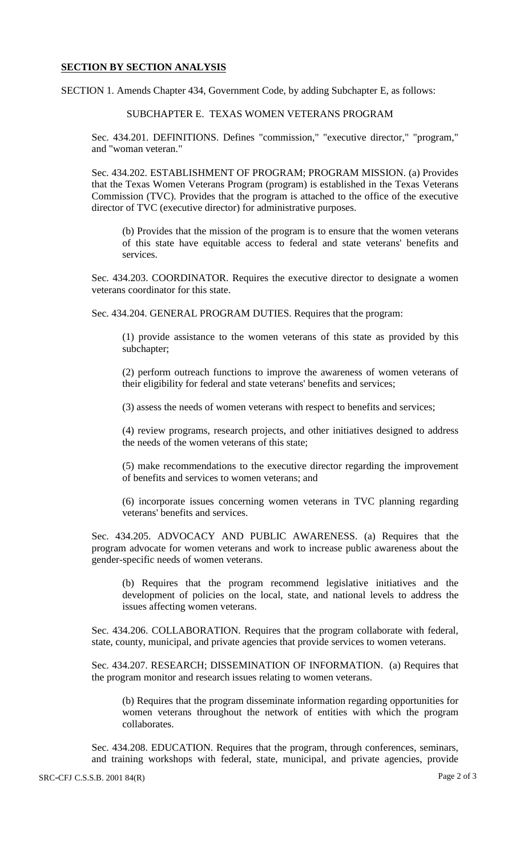#### **SECTION BY SECTION ANALYSIS**

SECTION 1. Amends Chapter 434, Government Code, by adding Subchapter E, as follows:

### SUBCHAPTER E. TEXAS WOMEN VETERANS PROGRAM

Sec. 434.201. DEFINITIONS. Defines "commission," "executive director," "program," and "woman veteran."

Sec. 434.202. ESTABLISHMENT OF PROGRAM; PROGRAM MISSION. (a) Provides that the Texas Women Veterans Program (program) is established in the Texas Veterans Commission (TVC). Provides that the program is attached to the office of the executive director of TVC (executive director) for administrative purposes.

(b) Provides that the mission of the program is to ensure that the women veterans of this state have equitable access to federal and state veterans' benefits and services.

Sec. 434.203. COORDINATOR. Requires the executive director to designate a women veterans coordinator for this state.

Sec. 434.204. GENERAL PROGRAM DUTIES. Requires that the program:

(1) provide assistance to the women veterans of this state as provided by this subchapter;

(2) perform outreach functions to improve the awareness of women veterans of their eligibility for federal and state veterans' benefits and services;

(3) assess the needs of women veterans with respect to benefits and services;

(4) review programs, research projects, and other initiatives designed to address the needs of the women veterans of this state;

(5) make recommendations to the executive director regarding the improvement of benefits and services to women veterans; and

(6) incorporate issues concerning women veterans in TVC planning regarding veterans' benefits and services.

Sec. 434.205. ADVOCACY AND PUBLIC AWARENESS. (a) Requires that the program advocate for women veterans and work to increase public awareness about the gender-specific needs of women veterans.

(b) Requires that the program recommend legislative initiatives and the development of policies on the local, state, and national levels to address the issues affecting women veterans.

Sec. 434.206. COLLABORATION. Requires that the program collaborate with federal, state, county, municipal, and private agencies that provide services to women veterans.

Sec. 434.207. RESEARCH; DISSEMINATION OF INFORMATION. (a) Requires that the program monitor and research issues relating to women veterans.

(b) Requires that the program disseminate information regarding opportunities for women veterans throughout the network of entities with which the program collaborates.

Sec. 434.208. EDUCATION. Requires that the program, through conferences, seminars, and training workshops with federal, state, municipal, and private agencies, provide